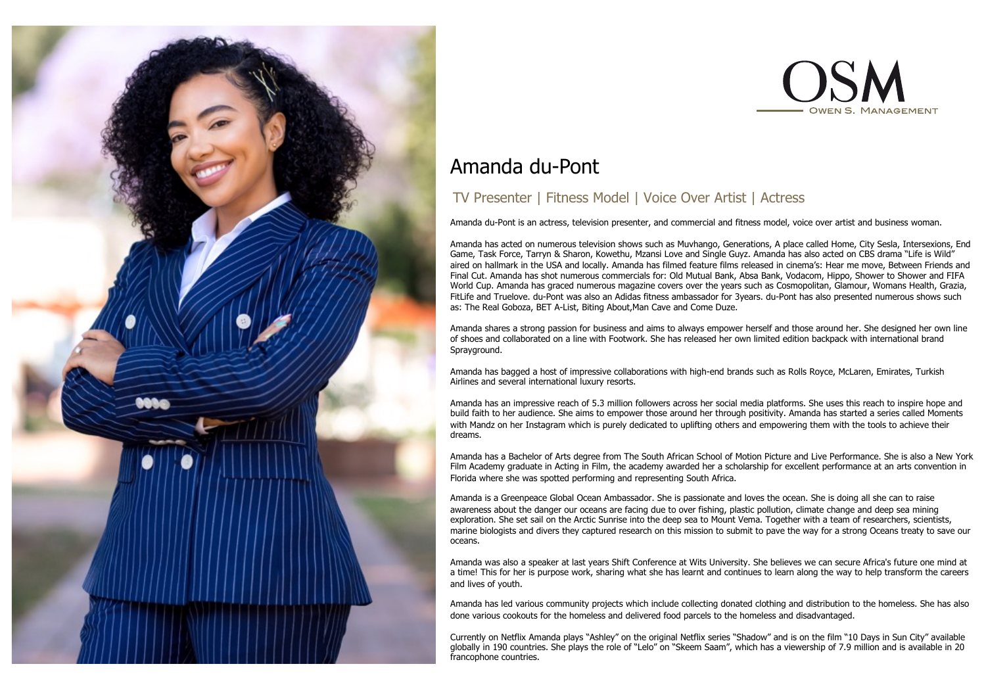



# Amanda du-Pont

# TV Presenter | Fitness Model | Voice Over Artist | Actress

Amanda du-Pont is an actress, television presenter, and commercial and fitness model, voice over artist and business woman.

Amanda has acted on numerous television shows such as Muvhango, Generations, A place called Home, City Sesla, Intersexions, End Game, Task Force, Tarryn & Sharon, Kowethu, Mzansi Love and Single Guyz. Amanda has also acted on CBS drama "Life is Wild" aired on hallmark in the USA and locally. Amanda has filmed feature films released in cinema's: Hear me move, Between Friends and Final Cut. Amanda has shot numerous commercials for: Old Mutual Bank, Absa Bank, Vodacom, Hippo, Shower to Shower and FIFA World Cup. Amanda has graced numerous magazine covers over the years such as Cosmopolitan, Glamour, Womans Health, Grazia, FitLife and Truelove. du-Pont was also an Adidas fitness ambassador for 3years. du-Pont has also presented numerous shows such as: The Real Goboza, BET A-List, Biting About,Man Cave and Come Duze.

Amanda shares a strong passion for business and aims to always empower herself and those around her. She designed her own line of shoes and collaborated on a line with Footwork. She has released her own limited edition backpack with international brand Spravground.

Amanda has bagged a host of impressive collaborations with high-end brands such as Rolls Royce, McLaren, Emirates, Turkish Airlines and several international luxury resorts.

Amanda has an impressive reach of 5.3 million followers across her social media platforms. She uses this reach to inspire hope and build faith to her audience. She aims to empower those around her through positivity. Amanda has started a series called Moments with Mandz on her Instagram which is purely dedicated to uplifting others and empowering them with the tools to achieve their dreams.

Amanda has a Bachelor of Arts degree from The South African School of Motion Picture and Live Performance. She is also a New York Film Academy graduate in Acting in Film, the academy awarded her a scholarship for excellent performance at an arts convention in Florida where she was spotted performing and representing South Africa.

Amanda is a Greenpeace Global Ocean Ambassador. She is passionate and loves the ocean. She is doing all she can to raise awareness about the danger our oceans are facing due to over fishing, plastic pollution, climate change and deep sea mining exploration. She set sail on the Arctic Sunrise into the deep sea to Mount Vema. Together with a team of researchers, scientists, marine biologists and divers they captured research on this mission to submit to pave the way for a strong Oceans treaty to save our oceans.

Amanda was also a speaker at last years Shift Conference at Wits University. She believes we can secure Africa's future one mind at a time! This for her is purpose work, sharing what she has learnt and continues to learn along the way to help transform the careers and lives of youth.

Amanda has led various community projects which include collecting donated clothing and distribution to the homeless. She has also done various cookouts for the homeless and delivered food parcels to the homeless and disadvantaged.

Currently on Netflix Amanda plays "Ashley" on the original Netflix series "Shadow" and is on the film "10 Days in Sun City" available globally in 190 countries. She plays the role of "Lelo" on "Skeem Saam", which has a viewership of 7.9 million and is available in 20 francophone countries.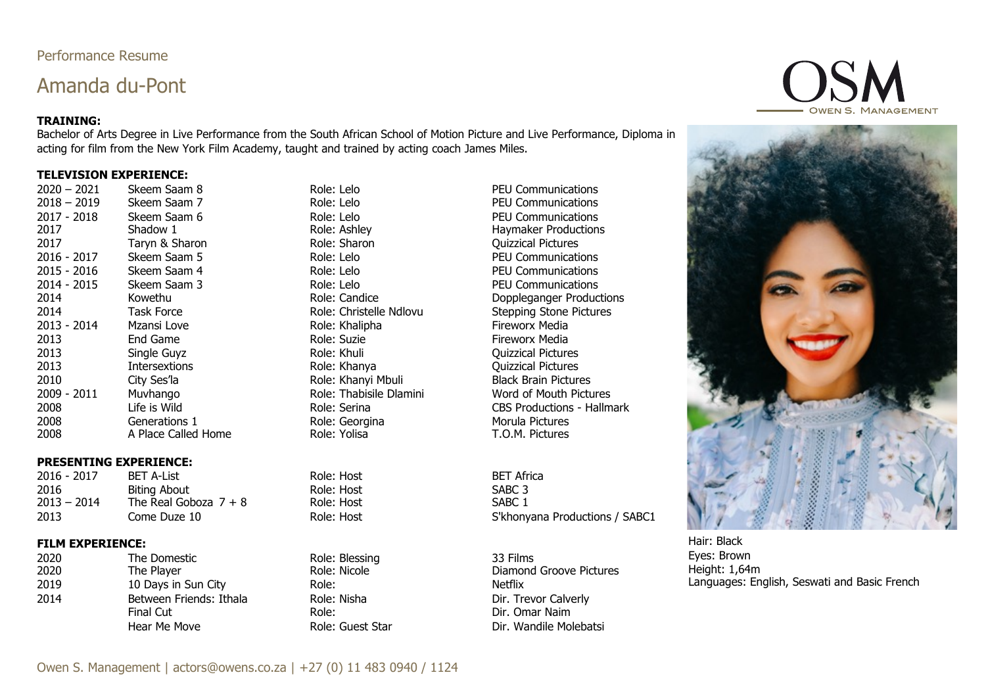# Performance Resume

# Amanda du-Pont

### **TRAINING:**

Bachelor of Arts Degree in Live Performance from the South African School of Motion Picture and Live Performance, Diploma in acting for film from the New York Film Academy, taught and trained by acting coach James Miles.

#### **TELEVISION EXPERIENCE:**

| 2020 – 2021 | Skeem Saam 8       |
|-------------|--------------------|
| 2018 - 2019 | Skeem Saam 7       |
| 2017 - 2018 | Skeem Saam 6       |
| 2017        | Shadow 1           |
| 2017        | Taryn & Sharon     |
| 2016 - 2017 | Skeem Saam 5       |
| 2015 - 2016 | Skeem Saam 4       |
| 2014 - 2015 | Skeem Saam 3       |
| 2014        | Kowethu            |
| 2014        | <b>Task Force</b>  |
| 2013 - 2014 | Mzansi Love        |
| 2013        | End Game           |
| 2013        | Single Guyz        |
| 2013        | Intersextions      |
| 2010        | City Ses'la        |
| 2009 - 2011 | Muvhango           |
| 2008        | Life is Wild       |
| 2008        | Generations 1      |
| 2008        | A Place Called Hon |
|             |                    |

### **PRESENTING EXPERIENCE:**

2016 - 2017 BET A-List Role: Host BET Africa 2016 Biting About Role: Host Role: Host SABC 3<br>
2013 – 2014 The Real Goboza 7 + 8 Role: Host SABC 1 The Real Goboza  $7 + 8$ 2013 Come Duze 10 Come Come Cup Come Cup Come Cup Come Come Come Come Come Come Role: Host Cup Come Cup Come C

#### **FILM EXPERIENCE:**

2020 The Domestic Role: Blessing 33 Films 2019 10 Days in Sun City **Role:** Netflix 2014 Between Friends: Ithala Role: Nisha Role: Nisha Dir. Trevor Calverly

PEU Communications **2018 – 2019 PEU Communications** 2018 - 2017 - 2017 - 2017 - 2017 - 2017 - 2017 - 2017 - 2017 - 2017 - 2017 - 2017 - 2017 - 2017 - 2017 - 2017 - 2017 - 2017 - 2017 - 2017 - 2017 - 2017 - 2017 - 2017 - 2017 - 2017 - 2017 - 2017 - 2017 - 2017 - 2017 - 2017 **2017 Role: Ashley 1 Role: Ashley 1 Role: Ashley Haymaker Productions** 2017 Taryn & Sharon Role: Sharon Quizzical Pictures 2016 - 2017 - 2018 - 2019 - 2017 - 2018 - 2019 - 2017 - 2018 - 2019 - 2017 - 2018 - 2019 - 2019 - 2017 - 2017 - 2018 - 2019 - 2018 - 2019 - 2019 - 2019 - 2019 - 2019 - 2019 - 2019 - 2019 - 2019 - 2019 - 2019 - 2019 - 2019 2016: Lelo PEU Communications PEU Communications<br>2014 - 2016 - 2016 POD PEU Communications<br>2 Doppleganger Produc Doppleganger Productions Role: Christelle Ndlovu Stepping Stone Pictures Role: Khalipha **Fireworx Media 2015 Role: Suzie Fireworx Media** 2013 Single Guyz Role: Khuli Quizzical Pictures Quizzical Pictures Role: Khanyi Mbuli Black Brain Pictures **2008 - Role: Thabisile Dlamini** Word of Mouth Pictures 2008 Life is Wild Role: Serina CBS Productions - Hallmark Pole: Georgina and Morula Pictures<br>2008 Role: Yolisa Morula Pictures 2008 A Place Called Home Role: Yolisa T.O.M. Pictures

Diamond Groove Pictures Final Cut Role: Dir. Omar Naim Hear Me Move Role: Guest Star Dir. Wandile Molebatsi





Hair: Black Eyes: Brown Height: 1,64m Languages: English, Seswati and Basic French